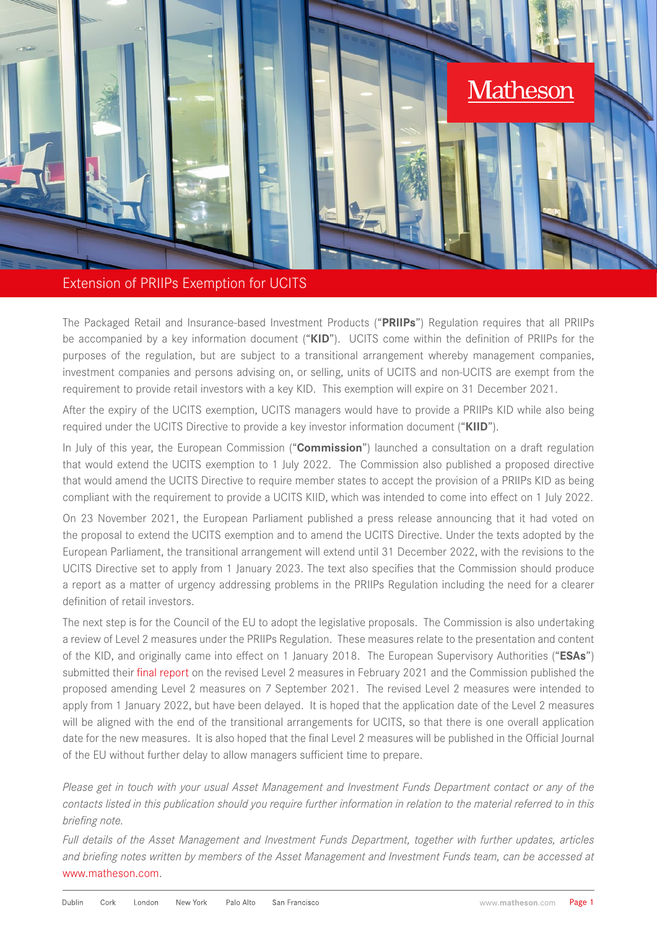

## Extension of PRIIPs Exemption for UCITS

The Packaged Retail and Insurance-based Investment Products ("**PRIIPs**") Regulation requires that all PRIIPs be accompanied by a key information document ("**KID**"). UCITS come within the definition of PRIIPs for the purposes of the regulation, but are subject to a transitional arrangement whereby management companies, investment companies and persons advising on, or selling, units of UCITS and non-UCITS are exempt from the requirement to provide retail investors with a key KID. This exemption will expire on 31 December 2021.

After the expiry of the UCITS exemption, UCITS managers would have to provide a PRIIPs KID while also being required under the UCITS Directive to provide a key investor information document ("**KIID**").

In July of this year, the European Commission ("**Commission**") launched a consultation on a draft regulation that would extend the UCITS exemption to 1 July 2022. The Commission also published a proposed directive that would amend the UCITS Directive to require member states to accept the provision of a PRIIPs KID as being compliant with the requirement to provide a UCITS KIID, which was intended to come into effect on 1 July 2022.

On 23 November 2021, the European Parliament published a press release announcing that it had voted on the proposal to extend the UCITS exemption and to amend the UCITS Directive. Under the texts adopted by the European Parliament, the transitional arrangement will extend until 31 December 2022, with the revisions to the UCITS Directive set to apply from 1 January 2023. The text also specifies that the Commission should produce a report as a matter of urgency addressing problems in the PRIIPs Regulation including the need for a clearer definition of retail investors.

The next step is for the Council of the EU to adopt the legislative proposals. The Commission is also undertaking a review of Level 2 measures under the PRIIPs Regulation. These measures relate to the presentation and content of the KID, and originally came into effect on 1 January 2018. The European Supervisory Authorities ("**ESAs**") submitted their [final report o](https://www.esma.europa.eu/sites/default/files/library/jc_2020_66_final_report_on_draft_rts_to_amend_the_priips_kid.pdf)n the revised Level 2 measures in February 2021 and the Commission published the proposed amending Level 2 measures on 7 September 2021. The revised Level 2 measures were intended to apply from 1 January 2022, but have been delayed. It is hoped that the application date of the Level 2 measures will be aligned with the end of the transitional arrangements for UCITS, so that there is one overall application date for the new measures. It is also hoped that the final Level 2 measures will be published in the Official Journal of the EU without further delay to allow managers sufficient time to prepare.

*Please get in touch with your usual Asset Management and Investment Funds Department contact or any of the contacts listed in this publication should you require further information in relation to the material referred to in this briefing note.*

*Full details of the Asset Management and Investment Funds Department, together with further updates, articles and briefing notes written by members of the Asset Management and Investment Funds team, can be accessed at* [www.matheson.com](http://www.matheson.com).